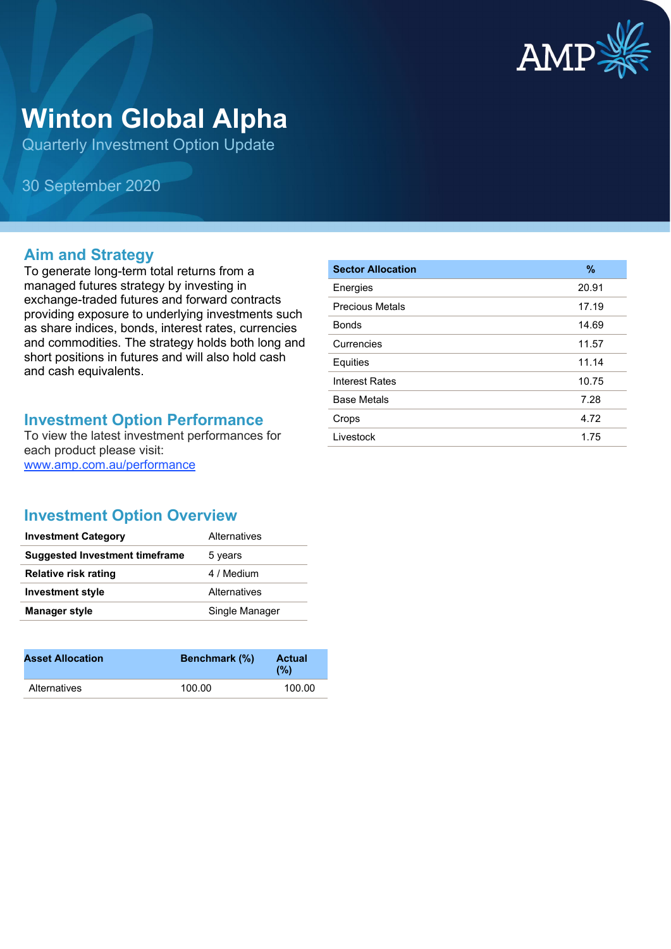

# **Winton Global Alpha**

Quarterly Investment Option Update

30 September 2020

## **Aim and Strategy**

To generate long-term total returns from a managed futures strategy by investing in exchange-traded futures and forward contracts providing exposure to underlying investments such as share indices, bonds, interest rates, currencies and commodities. The strategy holds both long and short positions in futures and will also hold cash and cash equivalents.

## **Investment Option Performance**

To view the latest investment performances for each product please visit: [www.amp.com.au/performance](https://www.amp.com.au/performance)

| <b>Sector Allocation</b> | $\%$  |
|--------------------------|-------|
| Energies                 | 20.91 |
| <b>Precious Metals</b>   | 17.19 |
| <b>Bonds</b>             | 14.69 |
| Currencies               | 11.57 |
| Equities                 | 11.14 |
| <b>Interest Rates</b>    | 10.75 |
| <b>Base Metals</b>       | 7.28  |
| Crops                    | 4.72  |
| Livestock                | 1.75  |

# **Investment Option Overview**

| <b>Investment Category</b>     | Alternatives   |
|--------------------------------|----------------|
| Suggested Investment timeframe | 5 years        |
| <b>Relative risk rating</b>    | 4 / Medium     |
| <b>Investment style</b>        | Alternatives   |
| <b>Manager style</b>           | Single Manager |

| <b>Asset Allocation</b> | <b>Benchmark</b> (%) | <b>Actual</b><br>(%) |
|-------------------------|----------------------|----------------------|
| Alternatives            | 100.00               | 100.00               |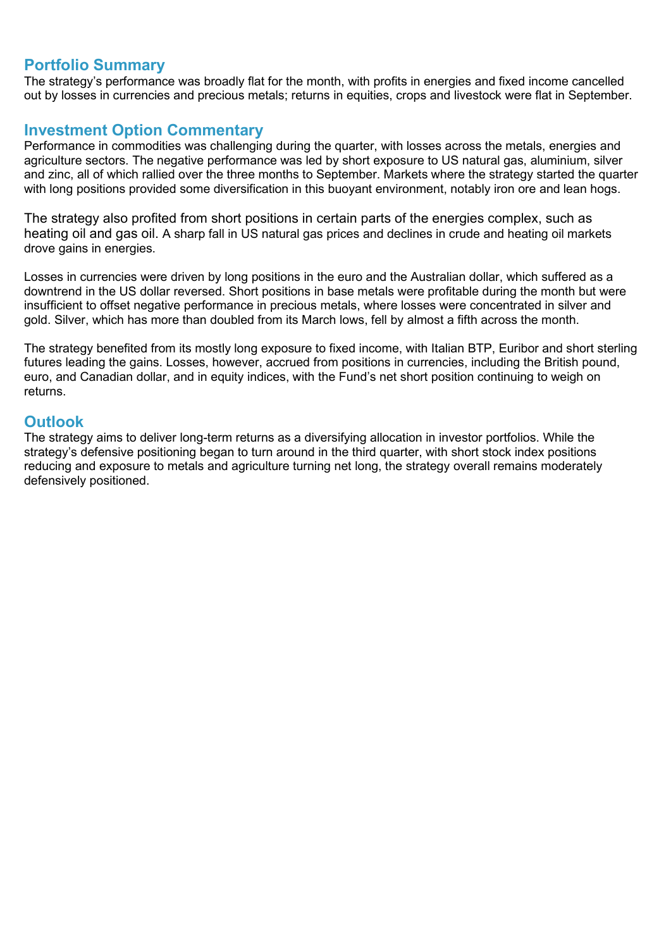#### **Portfolio Summary**

The strategy's performance was broadly flat for the month, with profits in energies and fixed income cancelled out by losses in currencies and precious metals; returns in equities, crops and livestock were flat in September.

#### **Investment Option Commentary**

Performance in commodities was challenging during the quarter, with losses across the metals, energies and agriculture sectors. The negative performance was led by short exposure to US natural gas, aluminium, silver and zinc, all of which rallied over the three months to September. Markets where the strategy started the quarter with long positions provided some diversification in this buoyant environment, notably iron ore and lean hogs.

The strategy also profited from short positions in certain parts of the energies complex, such as heating oil and gas oil. A sharp fall in US natural gas prices and declines in crude and heating oil markets drove gains in energies.

Losses in currencies were driven by long positions in the euro and the Australian dollar, which suffered as a downtrend in the US dollar reversed. Short positions in base metals were profitable during the month but were insufficient to offset negative performance in precious metals, where losses were concentrated in silver and gold. Silver, which has more than doubled from its March lows, fell by almost a fifth across the month.

The strategy benefited from its mostly long exposure to fixed income, with Italian BTP, Euribor and short sterling futures leading the gains. Losses, however, accrued from positions in currencies, including the British pound, euro, and Canadian dollar, and in equity indices, with the Fund's net short position continuing to weigh on returns.

#### **Outlook**

The strategy aims to deliver long-term returns as a diversifying allocation in investor portfolios. While the strategy's defensive positioning began to turn around in the third quarter, with short stock index positions reducing and exposure to metals and agriculture turning net long, the strategy overall remains moderately defensively positioned.